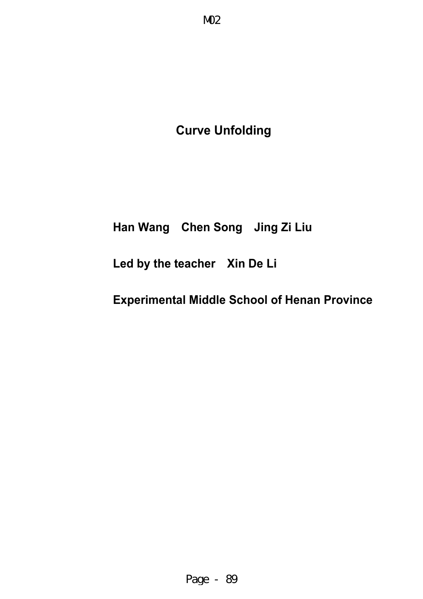# **Curve Unfolding**

## **Han Wang Chen Song Jing Zi Liu**

## **Led by the teacher Xin De Li**

## **Experimental Middle School of Henan Province**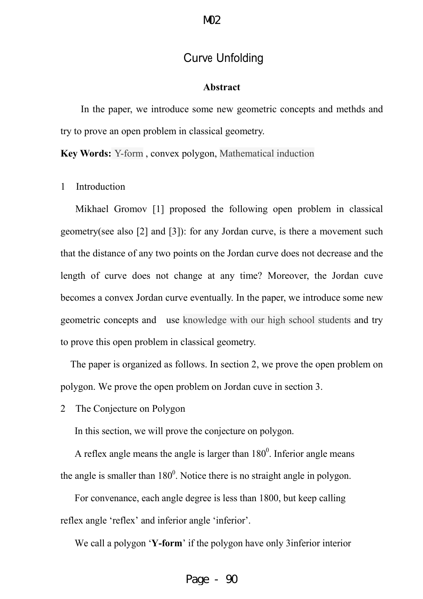## Curve Unfolding

#### **Abstract**

In the paper, we introduce some new geometric concepts and methds and try to prove an open problem in classical geometry.

**Key Words:** Y-form , convex polygon, Mathematical induction

1 Introduction

 Mikhael Gromov [1] proposed the following open problem in classical geometry(see also [2] and [3]): for any Jordan curve, is there a movement such that the distance of any two points on the Jordan curve does not decrease and the length of curve does not change at any time? Moreover, the Jordan cuve becomes a convex Jordan curve eventually. In the paper, we introduce some new geometric concepts and use knowledge with our high school students and try to prove this open problem in classical geometry.

 The paper is organized as follows. In section 2, we prove the open problem on polygon. We prove the open problem on Jordan cuve in section 3.

2 The Conjecture on Polygon

In this section, we will prove the conjecture on polygon.

A reflex angle means the angle is larger than  $180^\circ$ . Inferior angle means the angle is smaller than  $180^{\circ}$ . Notice there is no straight angle in polygon.

For convenance, each angle degree is less than 1800, but keep calling reflex angle 'reflex' and inferior angle 'inferior'.

We call a polygon '**Y-form**' if the polygon have only 3inferior interior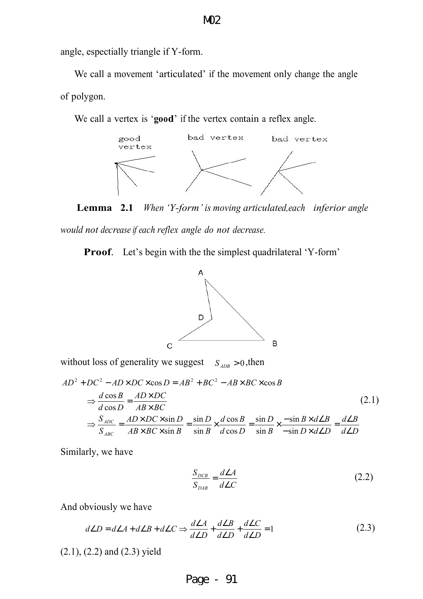angle, espectially triangle if Y-form.

We call a movement 'articulated' if the movement only change the angle of polygon.

We call a vertex is '**good**' if the vertex contain a reflex angle.



**Lemma 2.1** *When 'Y-form' is moving articulated,each inferior angle* 

*would not decrease if each reflex angle do not decrease.*

**Proof**. Let's begin with the the simplest quadrilateral 'Y-form'



without loss of generality we suggest  $S_{ADB} > 0$ , then

$$
AD^{2} + DC^{2} - AD \times DC \times \cos D = AB^{2} + BC^{2} - AB \times BC \times \cos B
$$
  
\n
$$
\Rightarrow \frac{d \cos B}{d \cos D} = \frac{AD \times DC}{AB \times BC}
$$
  
\n
$$
\Rightarrow \frac{S_{ADC}}{S_{ABC}} = \frac{AD \times DC \times \sin D}{AB \times BC \times \sin B} = \frac{\sin D}{\sin B} \times \frac{d \cos B}{d \cos D} = \frac{\sin D}{\sin B} \times \frac{-\sin B \times d \angle B}{-\sin D \times d \angle D} = \frac{d \angle B}{d \angle D}
$$
\n(2.1)

Similarly, we have

$$
\frac{S_{DCB}}{S_{DAB}} = \frac{d\angle A}{d\angle C}
$$
 (2.2)

And obviously we have

$$
d\angle D = d\angle A + d\angle B + d\angle C \Rightarrow \frac{d\angle A}{d\angle D} + \frac{d\angle B}{d\angle D} + \frac{d\angle C}{d\angle D} = 1
$$
 (2.3)

(2.1), (2.2) and (2.3) yield

### M02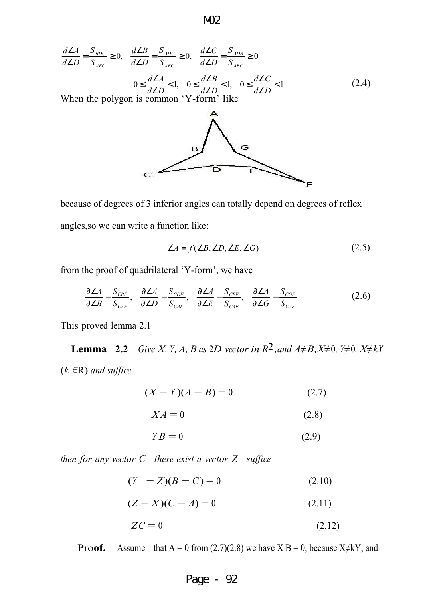$$
\frac{d\angle A}{d\angle D} = \frac{S_{BDC}}{S_{ABC}} \ge 0, \quad \frac{d\angle B}{d\angle D} = \frac{S_{ADC}}{S_{ABC}} \ge 0, \quad \frac{d\angle C}{d\angle D} = \frac{S_{ADB}}{S_{ABC}} \ge 0
$$
  

$$
0 \le \frac{d\angle A}{d\angle D} < 1, \quad 0 \le \frac{d\angle B}{d\angle D} < 1, \quad 0 \le \frac{d\angle C}{d\angle D} < 1
$$
  
When the polygon is common 'Y-form' like: (2.4)



because of degrees of 3 inferior angles can totally depend on degrees of reflex angles,so we can write a function like:

$$
\angle A = f(\angle B, \angle D, \angle E, \angle G) \tag{2.5}
$$

from the proof of quadrilateral 'Y-form', we have

$$
\frac{\partial \angle A}{\partial \angle B} = \frac{S_{CBF}}{S_{CAF}}, \quad \frac{\partial \angle A}{\partial \angle D} = \frac{S_{CDF}}{S_{CAF}}, \quad \frac{\partial \angle A}{\partial \angle E} = \frac{S_{CEF}}{S_{CAF}}, \quad \frac{\partial \angle A}{\partial \angle G} = \frac{S_{CGF}}{S_{CAF}}
$$
(2.6)

This proved lemma 2.1

**Lemma** 2.2 *Give X, Y, A, B as 2D vector in*  $R^2$ , *and*  $A \neq B$ ,  $X \neq 0$ ,  $Y \neq 0$ ,  $X \neq kY$ (*k* ∈R) *and suffice*

$$
(X - Y)(A - B) = 0 \t(2.7)
$$

$$
XA = 0 \tag{2.8}
$$

$$
YB = 0 \tag{2.9}
$$

*then for any vector C there exist a vector Z suffice*

 $(Y - Z)(B - C) = 0$  (2.10)

$$
(Z - X)(C - A) = 0
$$
 (2.11)

$$
ZC = 0 \tag{2.12}
$$

**Proof.** Assume that  $A = 0$  from (2.7)(2.8) we have  $X B = 0$ , because  $X \neq kY$ , and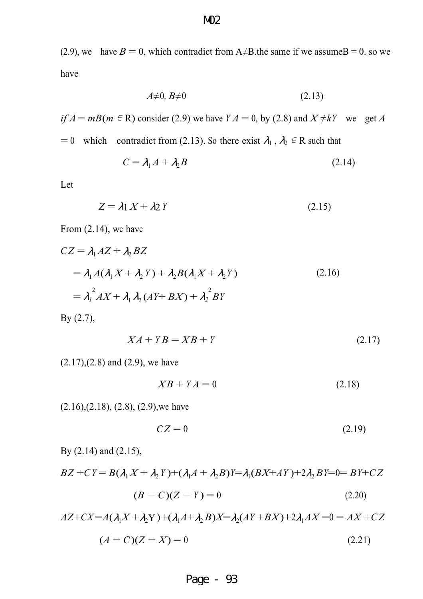(2.9), we have  $B = 0$ , which contradict from A≠B.the same if we assume B = 0. so we have

$$
A \neq 0, B \neq 0 \tag{2.13}
$$

*if*  $A = mB(m \in \mathbb{R})$  consider (2.9) we have  $YA = 0$ , by (2.8) and  $X \neq kY$  we get *A* 

= 0 which contradict from (2.13). So there exist  $\lambda_1$ ,  $\lambda_2 \in \mathbb{R}$  such that

$$
C = \lambda_1 A + \lambda_2 B \tag{2.14}
$$

Let

$$
Z = \lambda 1 X + \lambda 2 Y \tag{2.15}
$$

From (2.14), we have

$$
CZ = \lambda_1 AZ + \lambda_2 BZ
$$
  
=  $\lambda_1 A(\lambda_1 X + \lambda_2 Y) + \lambda_2 B(\lambda_1 X + \lambda_2 Y)$   
=  $\lambda_1^2 AX + \lambda_1 \lambda_2 (AY + BX) + \lambda_2^2 BY$  (2.16)

By (2.7),

$$
XA + YB = XB + Y \tag{2.17}
$$

 $(2.17)$ , $(2.8)$  and  $(2.9)$ , we have

$$
XB + YA = 0 \tag{2.18}
$$

 $(2.16), (2.18), (2.8), (2.9)$ , we have

$$
CZ = 0 \tag{2.19}
$$

By (2.14) and (2.15),

 $BZ + CY = B(\lambda_1 X + \lambda_2 Y) + (\lambda_1 A + \lambda_2 B)Y = \lambda_1 (BX + AY) + 2\lambda_2 BY = 0 = BY + CZ$ 

$$
(B - C)(Z - Y) = 0 \t\t(2.20)
$$

 $AZ+CX= A(\lambda_1 X + \lambda_2 Y) + (\lambda_1 A + \lambda_2 B)X = \lambda_2 (AY + BX) + 2\lambda_1 AX = 0 = AX + CZ$ 

$$
(A - C)(Z - X) = 0 \tag{2.21}
$$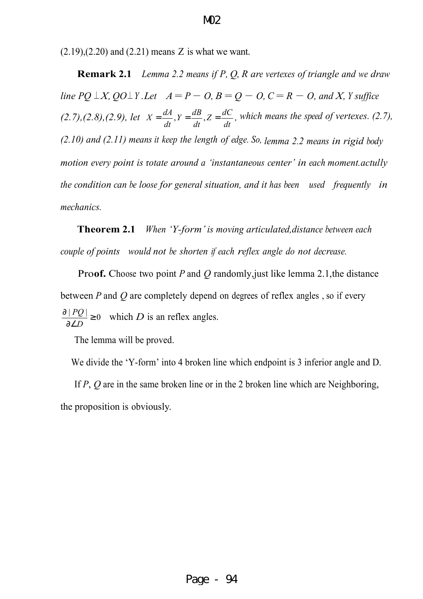$(2.19)$ , $(2.20)$  and  $(2.21)$  means Z is what we want.

**Remark 2.1** *Lemma 2.2 means if P, Q, R are vertexes of triangle and we draw line PQ* ⊥*X*,  $QO ⊥ Y$ .*Let*  $A = P - O$ ,  $B = Q - O$ ,  $C = R - O$ , and *X*, *Y* suffice *(2.7),(2.8),(2.9), let dt*  $Z = \frac{dC}{I}$ *dt*  $Y = \frac{dB}{dx}$ *dt*  $X = \frac{dA}{dt}$ ,  $Y = \frac{dB}{dt}$ ,  $Z = \frac{dC}{dt}$ , which means the speed of vertexes. (2.7), *(2.10) and (2.11) means it keep the length of edge. So, lemma 2.2 means in rigid body motion every point is* r*otate around a 'instantaneous center' in each moment.actully the condition can be loose for general situation, and it has been used frequently in mechanics.*

**Theorem 2.1** *When 'Y-form'is moving articulated,distance between each couple of points would not be shorten if each reflex angle do not decrease.* 

Pro**of.** Choose two point *P* and *Q* randomly,just like lemma 2.1,the distance between *P* and *Q* are completely depend on degrees of reflex angles , so if every  $\frac{|PQ|}{\Delta} \geq 0$ ∂∠ ∂ *D*  $\frac{PQ}{PQ} \ge 0$  which *D* is an reflex angles.

The lemma will be proved.

We divide the 'Y-form' into 4 broken line which endpoint is 3 inferior angle and D.

If *P*, *Q* are in the same broken line or in the 2 broken line which are Neighboring, the proposition is obviously.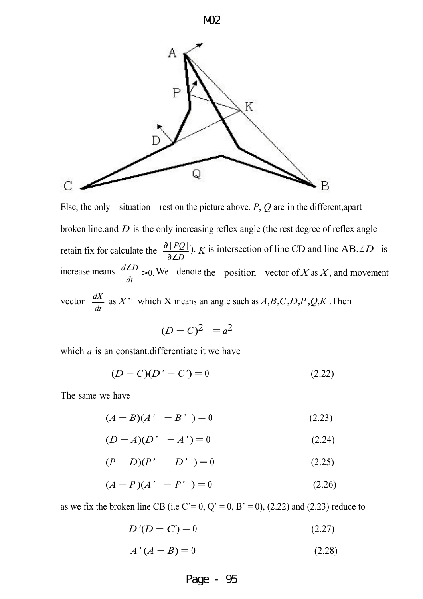

Else, the only situation rest on the picture above. *P*, *Q* are in the different,apart broken line.and *D* is the only increasing reflex angle (the rest degree of reflex angle retain fix for calculate the *D PQ* ∂∠  $\frac{\partial |PQ|}{\partial \Sigma}$ ). *K* is intersection of line CD and line AB.∠*D* is increase means  $\frac{d\angle D}{dx} > 0$ . *dt*  $\frac{d \angle D}{dx} > 0$ . We denote the position vector of *X* as *X*, and movement

vector *dt*  $\frac{dX}{dt}$  as *X*<sup>\*</sup> which X means an angle such as *A*,*B*,*C*,*D*,*P*,*Q*,*K*. Then

$$
(D-C)^2 = a^2
$$

which *a* is an constant.differentiate it we have

$$
(D - C)(D' - C') = 0
$$
\n(2.22)

The same we have

$$
(A - B)(A' - B') = 0 \tag{2.23}
$$

$$
(D - A)(D' - A') = 0 \tag{2.24}
$$

$$
(P - D)(P' - D') = 0 \t\t(2.25)
$$

$$
(A - P)(A' - P') = 0 \t(2.26)
$$

as we fix the broken line CB (i.e C'= 0, Q' = 0, B' = 0), (2.22) and (2.23) reduce to

$$
D'(D - C) = 0 \tag{2.27}
$$

$$
A'(A-B)=0\tag{2.28}
$$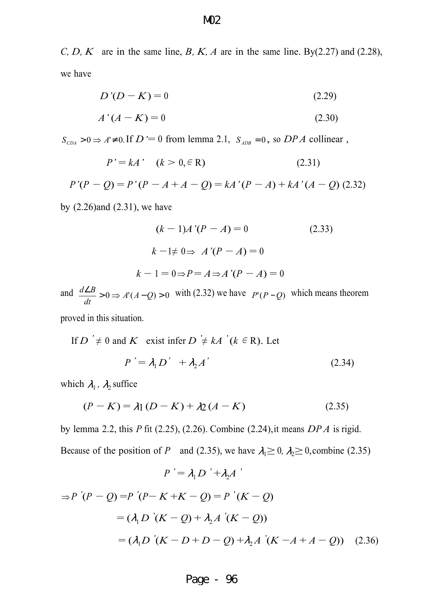*C, D, K* are in the same line, *B, K, A* are in the same line. By(2.27) and (2.28), we have

$$
D'(D-K) = 0 \tag{2.29}
$$

$$
A'(A - K) = 0 \tag{2.30}
$$

 $S_{\text{CDA}} > 0 \Rightarrow A \neq 0$ . If  $D \equiv 0$  from lemma 2.1,  $S_{\text{ADB}} = 0$ , so  $DPA$  collinear,

$$
P' = kA' \quad (k > 0, \in \mathbb{R}) \tag{2.31}
$$

*P'*(*P − Q*) = *P'* (*P − A* + *A − Q*) = *kA'*(*P −A*) + *kA'*(*A − Q*) (2.32)

by (2.26)and (2.31), we have

$$
(k-1)A'(P-A) = 0
$$
\n
$$
k-1 \neq 0 \Rightarrow A'(P-A) = 0
$$
\n
$$
k-1 = 0 \Rightarrow P = A \Rightarrow A'(P-A) = 0
$$
\n(2.33)

and  $\frac{d \angle B}{dt} > 0 \Rightarrow A'(A-Q) > 0$ *dt*  $\frac{d\angle B}{dt}$  > 0 ⇒ A'(A – Q) > 0 with (2.32) we have  $P'(P-Q)$  which means theorem

proved in this situation.

If 
$$
D' \neq 0
$$
 and  $K$  exist infer  $D' \neq kA'$  ( $k \in R$ ). Let  
\n
$$
P' = \lambda_1 D' + \lambda_2 A'
$$
\n(2.34)

which  $\lambda_1$ ,  $\lambda_2$  suffice

$$
(P - K) = \lambda 1 (D - K) + \lambda 2 (A - K)
$$
 (2.35)

by lemma 2.2, this *P* fit (2.25), (2.26). Combine (2.24),it means *DP A* is rigid. Because of the position of *P* and (2.35), we have  $\lambda_1 \ge 0$ ,  $\lambda_2 \ge 0$ , combine (2.35)

 $P' = \lambda_1 D' + \lambda_2 A'$ 

$$
\Rightarrow P'(P-Q) = P'(P-K+K-Q) = P'(K-Q)
$$
  
=  $(\lambda_1 D'(K-Q) + \lambda_2 A'(K-Q))$   
=  $(\lambda_1 D'(K-D+D-Q) + \lambda_2 A'(K-A+A-Q))$  (2.36)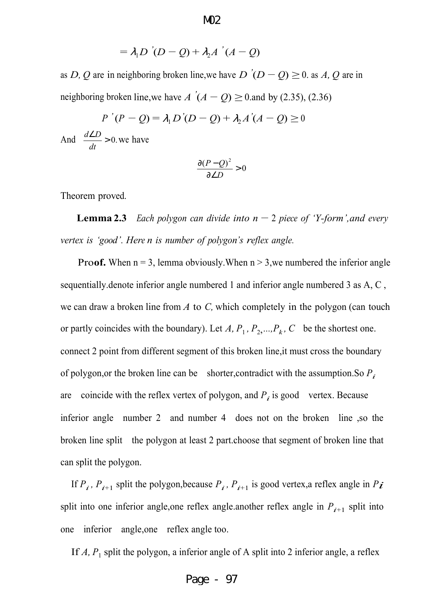$$
= \lambda_1 D \dot{ } (D - Q) + \lambda_2 A \dot{ } (A - Q)
$$

as *D*, *Q* are in neighboring broken line, we have *D*  $'(D - Q) \ge 0$ . as *A*, *Q* are in neighboring broken line,we have *A*  $'(A - Q) \ge 0$  and by (2.35), (2.36)

$$
P'(P - Q) = \lambda_1 D'(D - Q) + \lambda_2 A'(A - Q) \ge 0
$$

And  $\frac{d\angle D}{1} > 0$ . *dt*  $\frac{d}{L} > 0$  we have

$$
\frac{\partial (P - Q)^2}{\partial \angle D} > 0
$$

Theorem proved.

**Lemma 2.3** *Each polygon can divide into*  $n-2$  *piece of 'Y-form', and every vertex is 'good'. Here n is number of polygon's reflex angle.*

**Proof.** When  $n = 3$ , lemma obviously. When  $n > 3$ , we numbered the inferior angle sequentially.denote inferior angle numbered 1 and inferior angle numbered 3 as A, C , we can draw a broken line from *A* to *C,* which completely in the polygon (can touch or partly coincides with the boundary). Let *A*,  $P_1$ ,  $P_2$ , ...,  $P_k$ , *C* be the shortest one. connect 2 point from different segment of this broken line,it must cross the boundary of polygon,or the broken line can be shorter,contradict with the assumption.So *Pi*  are coincide with the reflex vertex of polygon, and  $P_i$  is good vertex. Because inferior angle number 2 and number 4 does not on the broken line ,so the broken line split the polygon at least 2 part.choose that segment of broken line that can split the polygon.

If  $P_i$ ,  $P_{i+1}$  split the polygon, because  $P_i$ ,  $P_{i+1}$  is good vertex, a reflex angle in  $P_i$ split into one inferior angle, one reflex angle.another reflex angle in  $P_{i+1}$  split into one inferior angle,one reflex angle too.

If  $A$ ,  $P_1$  split the polygon, a inferior angle of A split into 2 inferior angle, a reflex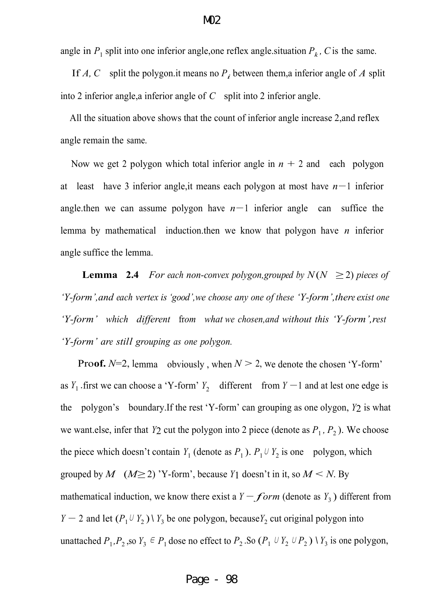angle in  $P_1$  split into one inferior angle, one reflex angle situation  $P_k$ , C is the same.

If *A*, *C* split the polygon.it means no  $P_i$  between them, a inferior angle of *A* split into 2 inferior angle,a inferior angle of *C* split into 2 inferior angle.

All the situation above shows that the count of inferior angle increase 2,and reflex angle remain the same.

Now we get 2 polygon which total inferior angle in  $n + 2$  and each polygon at least have 3 inferior angle,it means each polygon at most have *n−*<sup>1</sup> inferior angle.then we can assume polygon have *n−*<sup>1</sup> inferior angle can suffice the lemma by mathematical induction.then we know that polygon have *n* inferior angle suffice the lemma.

**Lemma** 2.4 *For each non-convex polygon,grouped by*  $N(N \geq 2)$  *pieces of 'Y-form',and each vertex is'good',we choose any one of these 'Y-form',there exist one 'Y-form' which different* fr*om what we chosen,and without this 'Y-form',rest 'Y-form' are still grouping as one polygon.* 

**Proof.**  $N=2$ , lemma obviously, when  $N > 2$ , we denote the chosen 'Y-form' as  $Y_1$ . first we can choose a 'Y-form'  $Y_2$  different from  $Y - 1$  and at lest one edge is the polygon's boundary.If the rest 'Y-form' can grouping as one olygon, *Y*2 is what we want else, infer that  $Y_2$  cut the polygon into 2 piece (denote as  $P_1$ ,  $P_2$ ). We choose the piece which doesn't contain *Y*<sub>1</sub> (denote as  $P_1$ ).  $P_1 \cup Y_2$  is one polygon, which grouped by *M*  $(M \ge 2)$  'Y-form', because *Y*1 doesn't in it, so  $M \le N$ . By mathematical induction, we know there exist a *Y*  $-form$  (denote as *Y*<sub>3</sub>) different from *Y* − 2 and let  $(P_1 \cup Y_2) \setminus Y_3$  be one polygon, because  $Y_2$  cut original polygon into unattached  $P_1, P_2$ , so  $Y_3 \in P_1$  dose no effect to  $P_2$ . So  $(P_1 \cup Y_2 \cup P_2) \setminus Y_3$  is one polygon,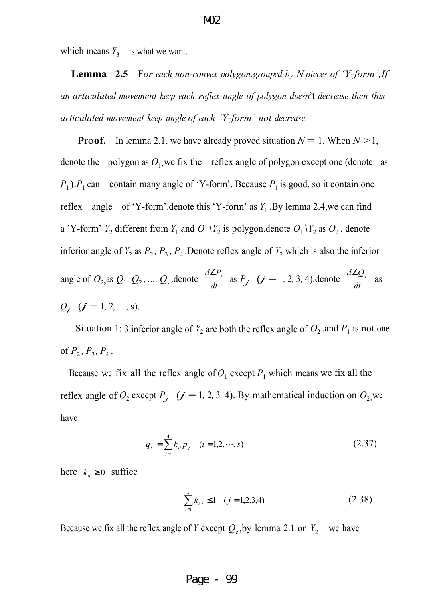which means  $Y_3$  is what we want.

**Lemma 2.5** F*or each non-convex polygon,grouped by N pieces of 'Y-form',If an articulated movement keep each reflex angle of polygon doesn*'t *decrease then this articulated movement keep angle of each 'Y-form' not decrease.*

**Proof.** In lemma 2.1, we have already proved situation  $N = 1$ . When  $N > 1$ , denote the polygon as  $O_1$  we fix the reflex angle of polygon except one (denote as  $P_1$ ). $P_1$  can contain many angle of 'Y-form'. Because  $P_1$  is good, so it contain one reflex angle of 'Y-form'.denote this 'Y-form' as  $Y_1$ . By lemma 2.4, we can find a 'Y-form'  $Y_2$  different from  $Y_1$  and  $O_1 \ Y_2$  is polygon.denote  $O_1 \ Y_2$  as  $O_2$ . denote inferior angle of  $Y_2$  as  $P_2$ ,  $P_3$ ,  $P_4$ . Denote reflex angle of  $Y_2$  which is also the inferior angle of  $O_2$ , as  $Q_1$ ,  $Q_2$ , ...,  $Q_s$  .denote *dt*  $\frac{d \angle P_j}{dt}$  as  $P_j$  (*j* = 1, 2, 3, 4).denote  $\frac{d \angle Q_j}{dt}$  $\frac{d∠Q_j}{Q}$  as  $Q_j$   $(j = 1, 2, ..., s)$ .

Situation 1: 3 inferior angle of  $Y_2$  are both the reflex angle of  $O_2$  and  $P_1$  is not one of  $P_2$ ,  $P_3$ ,  $P_4$ .

Because we fix all the reflex angle of  $O_1$  except  $P_1$  which means we fix all the reflex angle of  $O_2$  except  $P_j$  ( $j = 1, 2, 3, 4$ ). By mathematical induction on  $O_2$ , we have

$$
q_i = \sum_{j=1}^{4} k_{ij} p_j \quad (i = 1, 2, \cdots, s)
$$
 (2.37)

here  $k_{ii} \ge 0$  suffice

$$
\sum_{i=1}^{s} k_{i,j} \le 1 \quad (j = 1, 2, 3, 4)
$$
 (2.38)

Because we fix all the reflex angle of *Y* except  $Q_i$ , by lemma 2.1 on  $Y_2$  we have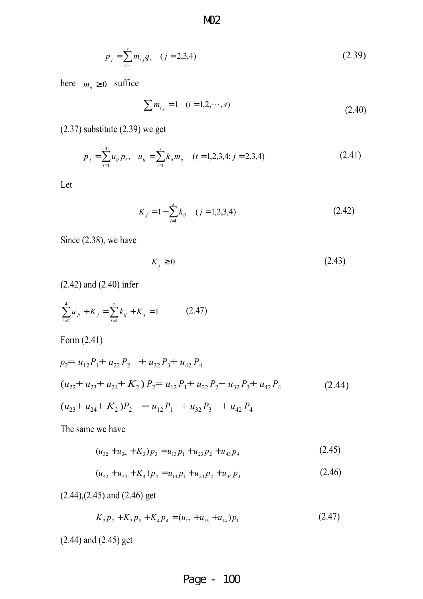$$
p_j = \sum_{i=1}^{s} m_{ij} q_i \quad (j = 2, 3, 4)
$$
 (2.39)

here  $m_{ij} \ge 0$  suffice

$$
\sum m_{ij} = 1 \quad (i = 1, 2, \cdots, s)
$$
\n(2.40)

(2.37) substitute (2.39) we get

$$
p_j = \sum_{t=1}^{4} u_{ij} p_t, \quad u_{ij} = \sum_{i=1}^{s} k_{ii} m_{ij} \quad (t = 1, 2, 3, 4; j = 2, 3, 4)
$$
 (2.41)

Let

$$
K_j = 1 - \sum_{i=1}^{s} k_{ij} \quad (j = 1, 2, 3, 4)
$$
 (2.42)

Since (2.38), we have

$$
K_j \ge 0 \tag{2.43}
$$

(2.42) and (2.40) infer

$$
\sum_{i=2}^{4} u_{ji} + K_j = \sum_{i=1}^{s} k_{ij} + K_j = 1
$$
 (2.47)

Form (2.41)

$$
p_2 = u_{12}P_1 + u_{22}P_2 + u_{32}P_3 + u_{42}P_4
$$
  
\n
$$
(u_{22} + u_{23} + u_{24} + K_2)P_2 = u_{12}P_1 + u_{22}P_2 + u_{32}P_3 + u_{42}P_4
$$
  
\n
$$
(u_{23} + u_{24} + K_2)P_2 = u_{12}P_1 + u_{32}P_3 + u_{42}P_4
$$
\n(2.44)

The same we have

$$
(u_{32} + u_{34} + K_3)p_3 = u_{13}p_1 + u_{23}p_2 + u_{43}p_4
$$
 (2.45)

$$
(u_{42} + u_{43} + K_4)p_4 = u_{14}p_1 + u_{24}p_2 + u_{34}p_3 \tag{2.46}
$$

(2.44),(2.45) and (2.46) get

$$
K_2 p_2 + K_3 p_3 + K_4 p_4 = (u_{12} + u_{13} + u_{14}) p_1
$$
\n(2.47)

(2.44) and (2.45) get

M02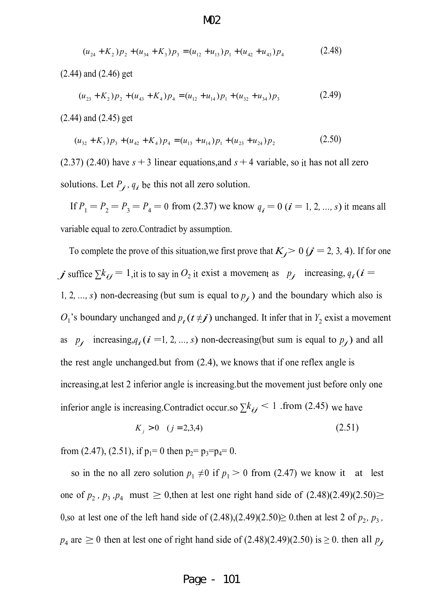$$
(u_{24} + K_2)p_2 + (u_{34} + K_3)p_3 = (u_{12} + u_{13})p_1 + (u_{42} + u_{43})p_4
$$
 (2.48)

(2.44) and (2.46) get

$$
(u_{23} + K_2)p_2 + (u_{43} + K_4)p_4 = (u_{12} + u_{14})p_1 + (u_{32} + u_{34})p_3
$$
 (2.49)

(2.44) and (2.45) get

$$
(u_{32} + K_3)p_3 + (u_{42} + K_4)p_4 = (u_{13} + u_{14})p_1 + (u_{23} + u_{24})p_2
$$
\n(2.50)

 $(2.37)$   $(2.40)$  have  $s + 3$  linear equations, and  $s + 4$  variable, so it has not all zero solutions. Let  $P_j$ ,  $q_i$  be this not all zero solution.

If  $P_1 = P_2 = P_3 = P_4 = 0$  from (2.37) we know  $q_i = 0$  ( $i = 1, 2, ..., s$ ) it means all variable equal to zero.Contradict by assumption.

To complete the prove of this situation, we first prove that  $K_j$  > 0 ( $j = 2, 3, 4$ ). If for one *j* suffice  $\sum k_{ij} = 1$ , it is to say in  $O_2$  it exist a movement as  $p_j$  increasing,  $q_i$  ( $i =$ 1, 2, ..., *s*) non-decreasing (but sum is equal to  $p_j$ ) and the boundary which also is  $O_1$ 's boundary unchanged and  $p_t(t \neq j)$  unchanged. It infer that in  $Y_2$  exist a movement as  $p_j$  increasing, $q_i$  ( $i = 1, 2, ..., s$ ) non-decreasing(but sum is equal to  $p_j$ ) and all the rest angle unchanged.but from (2.4), we knows that if one reflex angle is increasing,at lest 2 inferior angle is increasing.but the movement just before only one inferior angle is increasing.Contradict occur.so  $\sum k_{ij}$  < 1 .from (2.45) we have

$$
K_j > 0 \quad (j = 2, 3, 4) \tag{2.51}
$$

from (2.47), (2.51), if  $p_1=0$  then  $p_2=p_3=p_4=0$ .

so in the no all zero solution  $p_1 \neq 0$  if  $p_1 > 0$  from (2.47) we know it at lest one of  $p_2$ ,  $p_3$ ,  $p_4$  must  $\geq 0$ , then at lest one right hand side of  $(2.48)(2.49)(2.50) \geq$ 0,so at lest one of the left hand side of  $(2.48)$ , $(2.49)(2.50) \ge 0$ . then at lest 2 of  $p_2$ ,  $p_3$ ,  $p_4$  are  $\geq 0$  then at lest one of right hand side of (2.48)(2.49)(2.50) is  $\geq 0$ . then all  $p_j$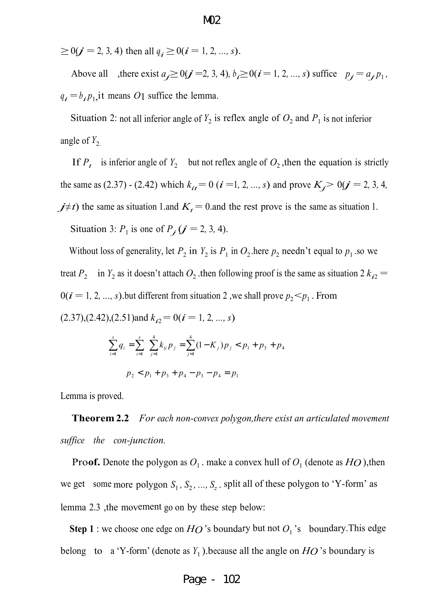$\geq$  0( $j$  = 2, 3, 4) then all  $q_i \geq$  0( $i$  = 1, 2*, ..., s*).

Above all , there exist  $a_j \ge 0$   $(j = 2, 3, 4)$ ,  $b_i \ge 0$   $(i = 1, 2, ..., s)$  suffice  $p_j = a_j p_1$ ,  $q_i = b_i p_1$ , it means *O*1 suffice the lemma.

Situation 2: not all inferior angle of  $Y_2$  is reflex angle of  $O_2$  and  $P_1$  is not inferior angle of  $Y_2$ .

If  $P_t$  is inferior angle of  $Y_2$  but not reflex angle of  $O_2$ , then the equation is strictly the same as (2.37) - (2.42) which  $k_{it} = 0$  ( $i = 1, 2, ..., s$ ) and prove  $K_j > 0$   $j = 2, 3, 4$ , *j*≠*t*) the same as situation 1.and  $K_t = 0$  and the rest prove is the same as situation 1. Situation 3:  $P_1$  is one of  $P_j$  ( $j = 2, 3, 4$ ).

Without loss of generality, let  $P_2$  in  $Y_2$  is  $P_1$  in  $O_2$  here  $p_2$  needn't equal to  $p_1$  so we treat  $P_2$  in  $Y_2$  as it doesn't attach  $O_2$  then following proof is the same as situation 2  $k_{i2}$  =  $0(i = 1, 2, ..., s)$  but different from situation 2, we shall prove  $p_2 < p_1$ . From  $(k_{i2} = 0, (2.37), (2.42), (2.51)$  and  $k_{i2} = 0$   $(i = 1, 2, ..., s)$ 

$$
\sum_{i=1}^{s} q_i = \sum_{i=1}^{s} \sum_{j=1}^{4} k_{ij} p_j = \sum_{j=1}^{4} (1 - K_j) p_j < p_1 + p_3 + p_4
$$

 $p_2 < p_1 + p_3 + p_4 - p_3 - p_4 = p_1$ 

Lemma is proved.

**Theorem 2.2** *For each non-convex polygon,there exist an articulated movement suffice the con-junction.*

**Proof.** Denote the polygon as  $O_1$ . make a convex hull of  $O_1$  (denote as  $HO$ ), then we get some more polygon  $S_1$ ,  $S_2$ , ...,  $S_z$  split all of these polygon to 'Y-form' as lemma 2.3 ,the movement go on by these step below:

**Step 1** : we choose one edge on  $HO$  's boundary but not  $O_1$  's boundary. This edge belong to a 'Y-form' (denote as  $Y_1$ ). because all the angle on  $HO$  's boundary is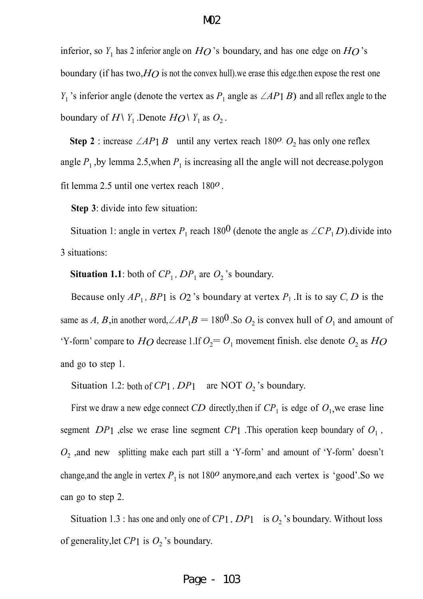# inferior, so  $Y_1$  has 2 inferior angle on  $HO$  's boundary, and has one edge on  $HO$  's boundary (if has two,*HO* is not the convex hull).we erase this edge.then expose the rest one *Y*<sub>1</sub> 's inferior angle (denote the vertex as *P*<sub>1</sub> angle as ∠*AP*1 *B*) and all reflex angle to the boundary of  $H\setminus Y_1$ .Denote  $H\mathcal{O}\setminus Y_1$  as  $O_2$ .

Step 2 : increase ∠*AP*1 *B* until any vertex reach 180<sup>*o*</sup>.  $O_2$  has only one reflex angle  $P_1$ , by lemma 2.5, when  $P_1$  is increasing all the angle will not decrease.polygon

fit lemma 2.5 until one vertex reach 180*o*  .

**Step 3**: divide into few situation:

Situation 1: angle in vertex  $P_1$  reach 180<sup>0</sup> (denote the angle as  $\angle CP_1D$ ).divide into 3 situations:

**Situation 1.1**: both of  $CP_1$ ,  $DP_1$  are  $O_2$ 's boundary.

Because only  $AP_1$ ,  $BP_1$  is  $O_2$  's boundary at vertex  $P_1$ . It is to say  $C, D$  is the same as *A*, *B*, in another word,  $\angle AP_1B = 180^{\circ}$ . So  $O_2$  is convex hull of  $O_1$  and amount of 'Y-form' compare to  $HO$  decrease 1.If  $O_2 = O_1$  movement finish. else denote  $O_2$  as  $HO$ and go to step 1.

Situation 1.2: both of  $CP1$ ,  $DP1$  are NOT  $O_2$ 's boundary.

First we draw a new edge connect *CD* directly, then if  $CP_1$  is edge of  $O_1$ , we erase line segment  $DP_1$  , else we erase line segment  $CP_1$  . This operation keep boundary of  $O_1$ ,  $O_2$ , and new splitting make each part still a 'Y-form' and amount of 'Y-form' doesn't change, and the angle in vertex  $P_1$  is not 180<sup>o</sup> anymore, and each vertex is 'good'. So we can go to step 2.

Situation 1.3 : has one and only one of  $CP_1$ ,  $DP_1$  is  $O_2$ 's boundary. Without loss of generality, let  $CP1$  is  $O_2$ 's boundary.

#### M02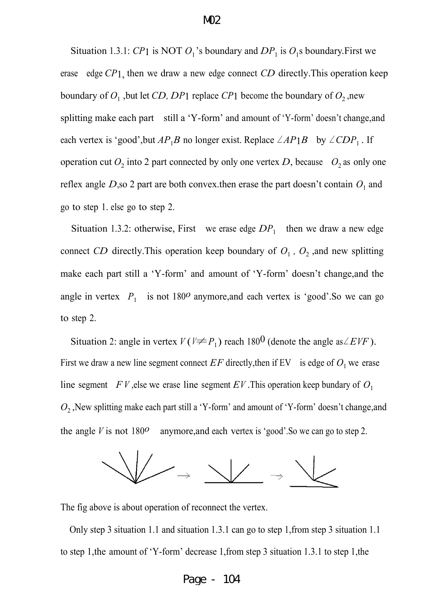Situation 1.3.1: *CP*1 is NOT  $O_1$ 's boundary and  $DP_1$  is  $O_1$ s boundary. First we erase edge *CP*1, then we draw a new edge connect *CD* directly.This operation keep boundary of  $O_1$ , but let *CD*, *DP*<sup>1</sup> replace *CP*<sup>1</sup> become the boundary of  $O_2$ , new splitting make each part still a 'Y-form' and amount of 'Y-form' doesn't change,and each vertex is 'good',but  $AP_1B$  no longer exist. Replace  $\angle AP_1B$  by  $\angle CDP_1$ . If operation cut  $O_2$  into 2 part connected by only one vertex *D*, because  $O_2$  as only one reflex angle  $D$ , so 2 part are both convex then erase the part doesn't contain  $O_1$  and go to step 1. else go to step 2.

Situation 1.3.2: otherwise, First we erase edge  $DP_1$  then we draw a new edge connect *CD* directly. This operation keep boundary of  $O_1$ ,  $O_2$ , and new splitting make each part still a 'Y-form' and amount of 'Y-form' doesn't change,and the angle in vertex  $P_1$  is not 180<sup>o</sup> anymore, and each vertex is 'good'. So we can go to step 2.

Situation 2: angle in vertex  $V(V \neq P_1)$  reach 180<sup>0</sup> (denote the angle as ∠*EVF*). First we draw a new line segment connect  $EF$  directly, then if EV is edge of  $O<sub>1</sub>$  we erase line segment *FV*, else we erase line segment *EV*. This operation keep bundary of  $O_1$ *O*2 ,New splitting make each part still a 'Y-form' and amount of 'Y-form' doesn't change,and the angle *<sup>V</sup>* is not <sup>180</sup>*o* anymore,and each vertex is 'good'.So we can go to step 2.



The fig above is about operation of reconnect the vertex.

Only step 3 situation 1.1 and situation 1.3.1 can go to step 1,from step 3 situation 1.1 to step 1,the amount of 'Y-form' decrease 1,from step 3 situation 1.3.1 to step 1,the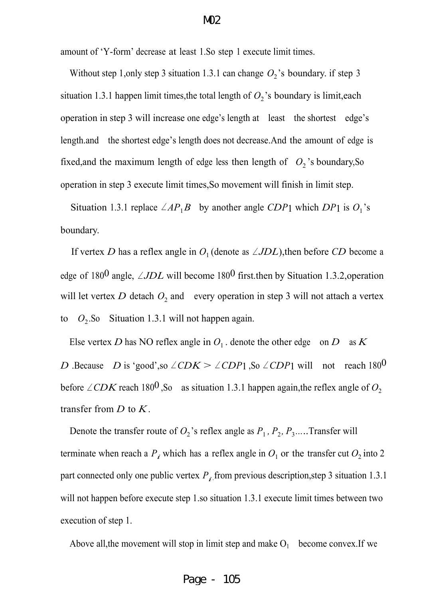amount of 'Y-form' decrease at least 1.So step 1 execute limit times.

Without step 1, only step 3 situation 1.3.1 can change  $O_2$ 's boundary. if step 3 situation 1.3.1 happen limit times, the total length of  $O_2$ 's boundary is limit, each operation in step 3 will increase one edge's length at least the shortest edge's length.and the shortest edge's length does not decrease.And the amount of edge is fixed, and the maximum length of edge less then length of  $O_2$ 's boundary, So operation in step 3 execute limit times,So movement will finish in limit step.

Situation 1.3.1 replace  $\angle AP_1B$  by another angle *CDP*1 which *DP*1 is  $O_1$ 's boundary.

If vertex *D* has a reflex angle in  $O_1$  (denote as  $\angle JDL$ ), then before *CD* become a edge of 1800 angle, <sup>∠</sup>*JDL* will become 1800 first.then by Situation 1.3.2,operation will let vertex  $D$  detach  $O_2$  and every operation in step 3 will not attach a vertex to  $O_2$ . So Situation 1.3.1 will not happen again.

Else vertex *D* has NO reflex angle in  $O_1$ . denote the other edge on *D* as *K D*. Because *D* is 'good',so  $\angle CDK > \angle CDP1$ , So  $\angle CDP1$  will not reach 180<sup>0</sup> before ∠*CDK* reach 180<sup>0</sup>, So as situation 1.3.1 happen again, the reflex angle of  $O_2$ transfer from *D* to *K*.

Denote the transfer route of  $O_2$ 's reflex angle as  $P_1$ ,  $P_2$ ,  $P_3$ .....Transfer will terminate when reach a  $P_i$  which has a reflex angle in  $O_1$  or the transfer cut  $O_2$  into 2 part connected only one public vertex  $P_i$  from previous description, step 3 situation 1.3.1 will not happen before execute step 1.so situation 1.3.1 execute limit times between two execution of step 1.

Above all, the movement will stop in limit step and make  $O_1$  become convex. If we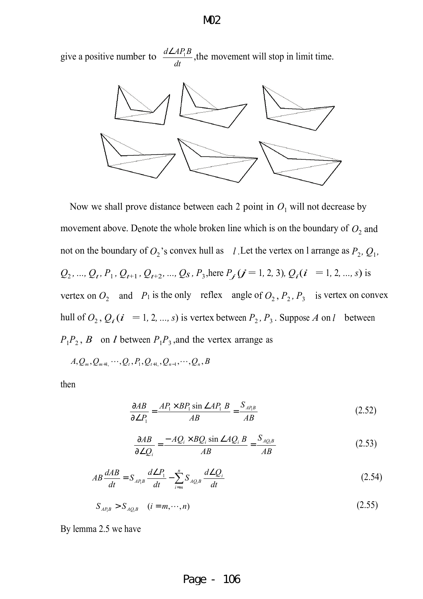give a positive number to *dt*  $\frac{d\angle AP_1B}{dt}$ , the movement will stop in limit time.



Now we shall prove distance between each 2 point in  $O_1$  will not decrease by movement above. Denote the whole broken line which is on the boundary of  $O_2$  and not on the boundary of  $O_2$ 's convex hull as *l*. Let the vertex on l arrange as  $P_2$ ,  $Q_1$ ,  $Q_2$ , ...,  $Q_t$ ,  $P_1$ ,  $Q_{t+1}$ ,  $Q_{t+2}$ , ...,  $Q_s$ ,  $P_3$ , here  $P_j$   $(j = 1, 2, 3)$ ,  $Q_i$   $(i = 1, 2, ..., s)$  is vertex on  $O_2$  and  $P_1$  is the only reflex angle of  $O_2$ ,  $P_2$ ,  $P_3$  is vertex on convex hull of  $O_2$ ,  $Q_i$  ( $i = 1, 2, ..., s$ ) is vertex between  $P_2$ ,  $P_3$ . Suppose *A* on *l* between  $P_1 P_2$ , *B* on *l* between  $P_1 P_3$ , and the vertex arrange as

$$
A, Q_m, Q_{m+1}, \cdots, Q_t, P_1, Q_{t+1}, Q_{n-1}, \cdots, Q_n, B
$$

then

$$
\frac{\partial AB}{\partial \angle P_1} = \frac{AP_1 \times BP_1 \sin \angle AP_1 \ B}{AB} = \frac{S_{AP_1B}}{AB}
$$
(2.52)

$$
\frac{\partial AB}{\partial \angle Q_i} = \frac{-AQ_i \times BQ_i \sin \angle AQ_i B}{AB} = \frac{S_{AQ_iB}}{AB}
$$
(2.53)

$$
AB\frac{dAB}{dt} = S_{AP_1B}\frac{d\angle P_1}{dt} - \sum_{i=m}^{n} S_{AQ_iB}\frac{d\angle Q_i}{dt}
$$
\n(2.54)

$$
S_{AP_i} > S_{AQ_i} \quad (i = m, \cdots, n)
$$
\n(2.55)

By lemma 2.5 we have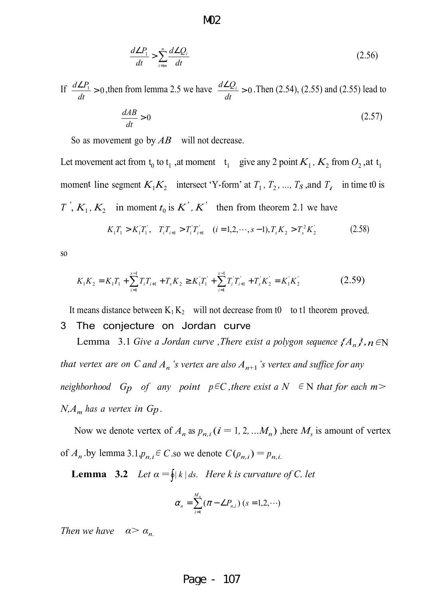$$
\frac{d\angle P_1}{dt} > \sum_{i=m}^n \frac{d\angle Q_i}{dt} \tag{2.56}
$$

If  $\frac{d \angle P_1}{1} > 0$ *dt*  $\frac{d \angle P_1}{dt} > 0$ , then from lemma 2.5 we have  $\frac{d \angle Q_i}{dt} > 0$ *dt*  $\frac{d \angle Q_i}{dt} > 0$ . Then (2.54), (2.55) and (2.55) lead to

$$
\frac{dAB}{dt} > 0\tag{2.57}
$$

So as movement go by *AB* will not decrease.

Let movement act from  $t_0$  to  $t_1$ , at moment  $t_1$  give any 2 point  $K_1$ ,  $K_2$  from  $O_2$ , at  $t_1$ moment line segment  $K_1K_2$  intersect 'Y-form' at  $T_1$ ,  $T_2$ , ...,  $T_S$ , and  $T_i$  in time t0 is *T'*,  $K_1$ ,  $K_2$  in moment  $t_0$  is  $K'$ ,  $K'$  then from theorem 2.1 we have

$$
K_1 T_1 > K_1 T_1', \quad T_i T_{i+1} > T_i T_{i+1}' \quad (i = 1, 2, \cdots, s-1), T_s K_2 > T_s^2 K_2' \tag{2.58}
$$

so

$$
K_1 K_2 = K_1 T_1 + \sum_{i=1}^{s-1} T_i T_{i+1} + T_s K_2 \ge K_1 T_1 + \sum_{i=1}^{s-1} T_i T_{i+1} + T_s K_2 = K_1 K_2
$$
 (2.59)

It means distance between  $K_1 K_2$  will not decrease from t0 to t1 theorem proved.

#### 3 The conjecture on Jordan curve

Lemma 3.1 *Give a Jordan curve ,There exist a polygon sequence*  $\{A_n\}$ *, n*  $\in$ N *that vertex are on C and A<sup>n</sup> 's vertex are also An*+1*'s vertex and suffice for any neighborhood Gp of any point*  $p \in C$ *, there exist*  $a N \in N$  *that for each*  $m >$ *N,A<sup>m</sup> has a vertex in Gp .*

Now we denote vertex of  $A_n$  as  $p_{n,i}$  ( $i = 1, 2, ... M_n$ ) ,here  $M_s$  is amount of vertex of  $A_n$  by lemma 3.1, $p_{n,i} \in C$  so we denote  $C(\rho_{n,i}) = p_{n,i}$ .

**Lemma** 3.2 *Let*  $\alpha = \oint |k| ds$ . *Here k is curvature of C. let* 

$$
\alpha_n = \sum_{i=1}^{M_n} (\pi - \angle P_{n,i}) \ (s = 1, 2, \cdots)
$$

*Then we have*  $\alpha > \alpha_n$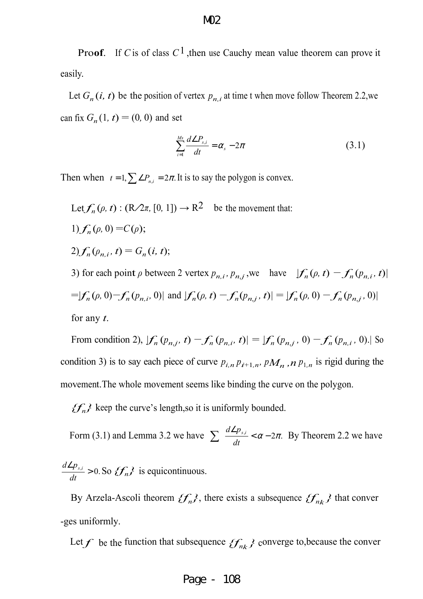**Proof.** If *C* is of class  $C<sup>1</sup>$ , then use Cauchy mean value theorem can prove it easily.

Let  $G_n(i, t)$  be the position of vertex  $p_{n,i}$  at time t when move follow Theorem 2.2,we can fix  $G_n(1, t) = (0, 0)$  and set

$$
\sum_{i=1}^{Ms} \frac{d \angle P_{s,i}}{dt} = \alpha_s - 2\pi
$$
 (3.1)

Then when  $t = 1$ ,  $\sum \angle P_{n,i} = 2\pi$ . It is to say the polygon is convex.

Let 
$$
f_n(\rho, t) : (R \nearrow \pi, [0, 1]) \rightarrow R^2
$$
 be the movement that:  
\n1)  $f_n(\rho, 0) = C(\rho);$   
\n2)  $f_n(\rho_{n,i}, t) = G_n(i, t);$ 

3) for each point  $\rho$  between 2 vertex  $p_{n,i}$ ,  $p_{n,j}$ , we have  $|f_n(\rho, t) - f_n(p_{n,i}, t)|$  $=$   $|f_n(\rho, 0) - f_n(p_{n,i}, 0)|$  and  $|f_n(\rho, t) - f_n(p_{n,i}, t)| = |f_n(\rho, 0) - f_n(p_{n,i}, 0)|$ for any *t*.

From condition 2),  $|f_n(p_{n,j}, t) - f_n(p_{n,i}, t)| = |f_n(p_{n,j}, 0) - f_n(p_{n,i}, 0)|$  So condition 3) is to say each piece of curve  $p_{i,n} p_{i+1,n}$ ,  $p_{i} M_n$ ,  $n p_{i,n}$  is rigid during the movement.The whole movement seems like binding the curve on the polygon.

 ${f_n}$  keep the curve's length,so it is uniformly bounded.

*dt*

Form (3.1) and Lemma 3.2 we have  $\sum_{n=1}^{\infty} \frac{d^2 P_{s,i}}{n} < \alpha - 2\pi.$  $\sum \frac{d \angle p_{s,i}}{dt} < \alpha - 2\pi$ . By Theorem 2.2 we have  $\frac{a}{n} > 0$ . ∠  $\frac{d \angle p_{s,i}}{dt} > 0$ . So  $\mathcal{F}_n$ <sup>}</sup> is equicontinuous.

By Arzela-Ascoli theorem  $\{f_n\}$ , there exists a subsequence  $\{f_{n_k}\}$  that conver -ges uniformly.

Let *f* be the function that subsequence  $\{f_{n_k}\}$  converge to, because the conver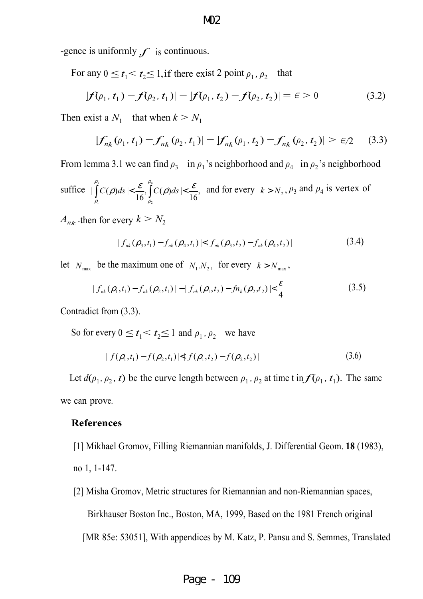-gence is uniformly  $f$  is continuous.

For any  $0 \le t_1 < t_2 \le 1$ , if there exist 2 point  $\rho_1$ ,  $\rho_2$ that

$$
|f(\rho_1, t_1) - f(\rho_2, t_1)| - |f(\rho_1, t_2) - f(\rho_2, t_2)| = \epsilon > 0
$$
 (3.2)

Then exist a  $N_1$  that when  $k > N_1$ 

$$
|f_{n_k}(\rho_1, t_1) - f_{n_k}(\rho_2, t_1)| - |f_{n_k}(\rho_1, t_2) - f_{n_k}(\rho_2, t_2)| > \epsilon/2 \quad (3.3)
$$

From lemma 3.1 we can find  $\rho_3$  in  $\rho_1$ 's neighborhood and  $\rho_4$  in  $\rho_2$ 's neighborhood

suffice 
$$
\left| \int_{\rho_1}^{\rho_3} C(\rho) ds \right| < \frac{\varepsilon}{16}, \int_{\rho_2}^{\rho_4} C(\rho) ds \right| < \frac{\varepsilon}{16}, \text{ and for every } k > N_2, \rho_3 \text{ and } \rho_4 \text{ is vertex of}
$$

 $A_{nk}$  then for every  $k > N_2$ 

$$
| f_{nk}(\rho_3,t_1) - f_{nk}(\rho_4,t_1) | \leq | f_{nk}(\rho_3,t_2) - f_{nk}(\rho_4,t_2) |
$$
\n(3.4)

let  $N_{\text{max}}$  be the maximum one of  $N_1.N_2$ , for every  $k > N_{\text{max}}$ ,

$$
|f_{nk}(\rho_1,t_1) - f_{nk}(\rho_2,t_1)| - |f_{nk}(\rho_1,t_2) - f_n(\rho_2,t_2)| \leq \frac{\varepsilon}{4}
$$
 (3.5)

Contradict from (3.3).

So for every  $0 \le t_1 < t_2 \le 1$  and  $\rho_1, \rho_2$  we have

$$
| f(\rho_1, t_1) - f(\rho_2, t_1) | \le | f(\rho_1, t_2) - f(\rho_2, t_2) |
$$
\n(3.6)

Let  $d(\rho_1, \rho_2, t)$  be the curve length between  $\rho_1, \rho_2$  at time t in  $f(\rho_1, t_1)$ . The same we can prove.

#### **References**

[1] Mikhael Gromov, Filling Riemannian manifolds, J. Differential Geom. **18** (1983), no 1, 1-147.

[2] Misha Gromov, Metric structures for Riemannian and non-Riemannian spaces,

Birkhauser Boston Inc., Boston, MA, 1999, Based on the 1981 French original

[MR 85e: 53051], With appendices by M. Katz, P. Pansu and S. Semmes, Translated